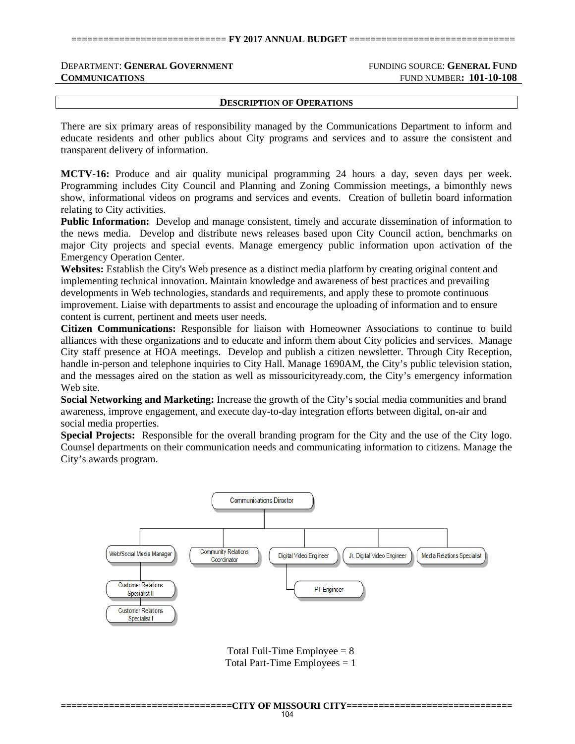## **DEPARTMENT: GENERAL GOVERNMENT** FUNDING SOURCE: GENERAL FUND **COMMUNICATIONS** FUND NUMBER: 101-10-108

**DESCRIPTION OF OPERATIONS**

There are six primary areas of responsibility managed by the Communications Department to inform and educate residents and other publics about City programs and services and to assure the consistent and transparent delivery of information.

**MCTV-16:** Produce and air quality municipal programming 24 hours a day, seven days per week. Programming includes City Council and Planning and Zoning Commission meetings, a bimonthly news show, informational videos on programs and services and events. Creation of bulletin board information relating to City activities.

**Public Information:** Develop and manage consistent, timely and accurate dissemination of information to the news media. Develop and distribute news releases based upon City Council action, benchmarks on major City projects and special events. Manage emergency public information upon activation of the Emergency Operation Center.

**Websites:** Establish the City's Web presence as a distinct media platform by creating original content and implementing technical innovation. Maintain knowledge and awareness of best practices and prevailing developments in Web technologies, standards and requirements, and apply these to promote continuous improvement. Liaise with departments to assist and encourage the uploading of information and to ensure content is current, pertinent and meets user needs.

**Citizen Communications:** Responsible for liaison with Homeowner Associations to continue to build alliances with these organizations and to educate and inform them about City policies and services. Manage City staff presence at HOA meetings. Develop and publish a citizen newsletter. Through City Reception, handle in-person and telephone inquiries to City Hall. Manage 1690AM, the City's public television station, and the messages aired on the station as well as missouricityready.com, the City's emergency information Web site.

**Social Networking and Marketing:** Increase the growth of the City's social media communities and brand awareness, improve engagement, and execute day-to-day integration efforts between digital, on-air and social media properties.

**Special Projects:** Responsible for the overall branding program for the City and the use of the City logo. Counsel departments on their communication needs and communicating information to citizens. Manage the City's awards program.



Total Full-Time Employee  $= 8$ Total Part-Time Employees  $= 1$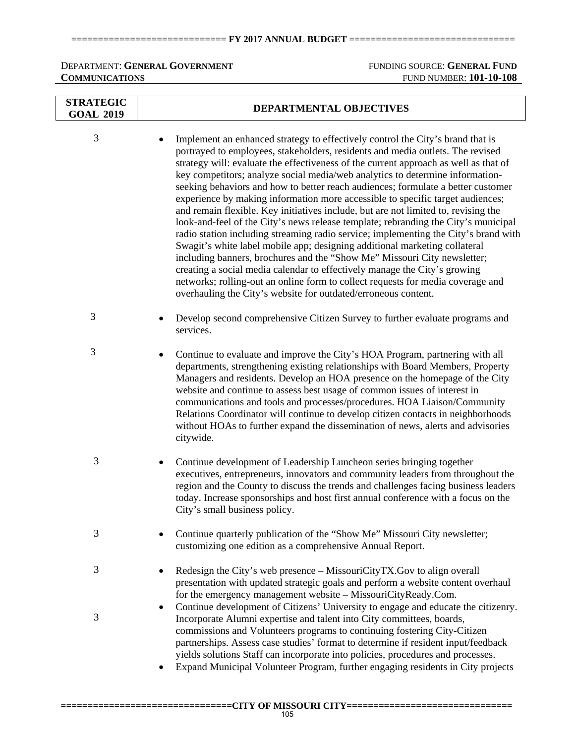## **============================= FY 2017 ANNUAL BUDGET ===============================**

# **DEPARTMENT: GENERAL GOVERNMENT** FUNDING SOURCE: GENERAL FUND **COMMUNICATIONS** FUND NUMBER: **101-10-108**

| <b>STRATEGIC</b><br><b>GOAL 2019</b> | DEPARTMENTAL OBJECTIVES                                                                                                                                                                                                                                                                                                                                                                                                                                                                                                                                                                                                                                                                                                                                                                                                                                                                                                                                                                                                                                                                                                                                                        |  |  |  |  |
|--------------------------------------|--------------------------------------------------------------------------------------------------------------------------------------------------------------------------------------------------------------------------------------------------------------------------------------------------------------------------------------------------------------------------------------------------------------------------------------------------------------------------------------------------------------------------------------------------------------------------------------------------------------------------------------------------------------------------------------------------------------------------------------------------------------------------------------------------------------------------------------------------------------------------------------------------------------------------------------------------------------------------------------------------------------------------------------------------------------------------------------------------------------------------------------------------------------------------------|--|--|--|--|
| 3                                    | Implement an enhanced strategy to effectively control the City's brand that is<br>portrayed to employees, stakeholders, residents and media outlets. The revised<br>strategy will: evaluate the effectiveness of the current approach as well as that of<br>key competitors; analyze social media/web analytics to determine information-<br>seeking behaviors and how to better reach audiences; formulate a better customer<br>experience by making information more accessible to specific target audiences;<br>and remain flexible. Key initiatives include, but are not limited to, revising the<br>look-and-feel of the City's news release template; rebranding the City's municipal<br>radio station including streaming radio service; implementing the City's brand with<br>Swagit's white label mobile app; designing additional marketing collateral<br>including banners, brochures and the "Show Me" Missouri City newsletter;<br>creating a social media calendar to effectively manage the City's growing<br>networks; rolling-out an online form to collect requests for media coverage and<br>overhauling the City's website for outdated/erroneous content. |  |  |  |  |
| 3                                    | Develop second comprehensive Citizen Survey to further evaluate programs and<br>services.                                                                                                                                                                                                                                                                                                                                                                                                                                                                                                                                                                                                                                                                                                                                                                                                                                                                                                                                                                                                                                                                                      |  |  |  |  |
| 3                                    | Continue to evaluate and improve the City's HOA Program, partnering with all<br>departments, strengthening existing relationships with Board Members, Property<br>Managers and residents. Develop an HOA presence on the homepage of the City<br>website and continue to assess best usage of common issues of interest in<br>communications and tools and processes/procedures. HOA Liaison/Community<br>Relations Coordinator will continue to develop citizen contacts in neighborhoods<br>without HOAs to further expand the dissemination of news, alerts and advisories<br>citywide.                                                                                                                                                                                                                                                                                                                                                                                                                                                                                                                                                                                     |  |  |  |  |
| 3                                    | Continue development of Leadership Luncheon series bringing together<br>٠<br>executives, entrepreneurs, innovators and community leaders from throughout the<br>region and the County to discuss the trends and challenges facing business leaders<br>today. Increase sponsorships and host first annual conference with a focus on the<br>City's small business policy.                                                                                                                                                                                                                                                                                                                                                                                                                                                                                                                                                                                                                                                                                                                                                                                                       |  |  |  |  |
| 3                                    | Continue quarterly publication of the "Show Me" Missouri City newsletter;<br>customizing one edition as a comprehensive Annual Report.                                                                                                                                                                                                                                                                                                                                                                                                                                                                                                                                                                                                                                                                                                                                                                                                                                                                                                                                                                                                                                         |  |  |  |  |
| 3                                    | Redesign the City's web presence – MissouriCityTX.Gov to align overall<br>presentation with updated strategic goals and perform a website content overhaul<br>for the emergency management website - MissouriCityReady.Com.                                                                                                                                                                                                                                                                                                                                                                                                                                                                                                                                                                                                                                                                                                                                                                                                                                                                                                                                                    |  |  |  |  |
| $\mathfrak{Z}$                       | Continue development of Citizens' University to engage and educate the citizenry.<br>Incorporate Alumni expertise and talent into City committees, boards,<br>commissions and Volunteers programs to continuing fostering City-Citizen<br>partnerships. Assess case studies' format to determine if resident input/feedback<br>yields solutions Staff can incorporate into policies, procedures and processes.<br>Expand Municipal Volunteer Program, further engaging residents in City projects                                                                                                                                                                                                                                                                                                                                                                                                                                                                                                                                                                                                                                                                              |  |  |  |  |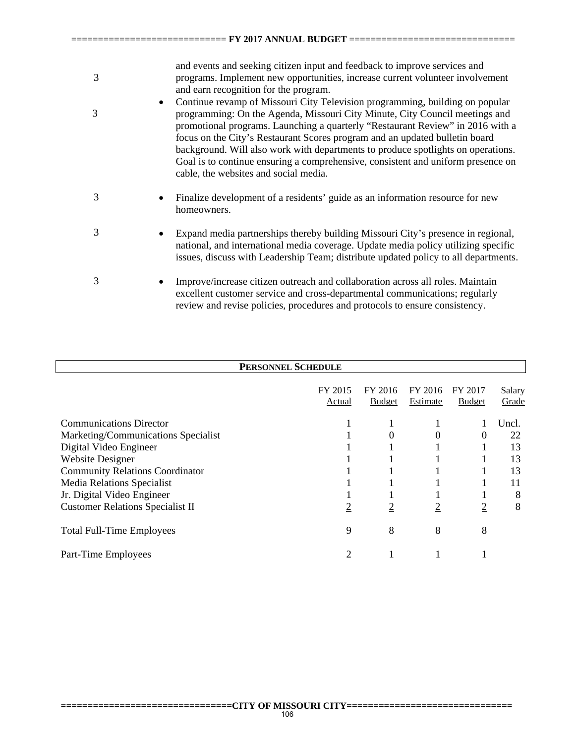| 3      | and events and seeking citizen input and feedback to improve services and<br>programs. Implement new opportunities, increase current volunteer involvement<br>and earn recognition for the program.                                                                                                                                                                                                                                                                                                                                           |
|--------|-----------------------------------------------------------------------------------------------------------------------------------------------------------------------------------------------------------------------------------------------------------------------------------------------------------------------------------------------------------------------------------------------------------------------------------------------------------------------------------------------------------------------------------------------|
| ٠<br>3 | Continue revamp of Missouri City Television programming, building on popular<br>programming: On the Agenda, Missouri City Minute, City Council meetings and<br>promotional programs. Launching a quarterly "Restaurant Review" in 2016 with a<br>focus on the City's Restaurant Scores program and an updated bulletin board<br>background. Will also work with departments to produce spotlights on operations.<br>Goal is to continue ensuring a comprehensive, consistent and uniform presence on<br>cable, the websites and social media. |
| 3      | Finalize development of a residents' guide as an information resource for new<br>homeowners.                                                                                                                                                                                                                                                                                                                                                                                                                                                  |
| 3      | Expand media partnerships thereby building Missouri City's presence in regional,<br>national, and international media coverage. Update media policy utilizing specific<br>issues, discuss with Leadership Team; distribute updated policy to all departments.                                                                                                                                                                                                                                                                                 |
| 3      | Improve/increase citizen outreach and collaboration across all roles. Maintain<br>excellent customer service and cross-departmental communications; regularly<br>review and revise policies, procedures and protocols to ensure consistency.                                                                                                                                                                                                                                                                                                  |

**============================= FY 2017 ANNUAL BUDGET ===============================** 

| PERSONNEL SCHEDULE                      |                   |                          |                     |                          |                 |  |  |
|-----------------------------------------|-------------------|--------------------------|---------------------|--------------------------|-----------------|--|--|
|                                         | FY 2015<br>Actual | FY 2016<br><b>Budget</b> | FY 2016<br>Estimate | FY 2017<br><b>Budget</b> | Salary<br>Grade |  |  |
| <b>Communications Director</b>          |                   |                          |                     |                          | Uncl.           |  |  |
| Marketing/Communications Specialist     |                   | 0                        | 0                   | 0                        | 22              |  |  |
| Digital Video Engineer                  |                   |                          |                     |                          | 13              |  |  |
| <b>Website Designer</b>                 |                   |                          |                     |                          | 13              |  |  |
| <b>Community Relations Coordinator</b>  |                   |                          |                     |                          | 13              |  |  |
| Media Relations Specialist              |                   |                          |                     |                          | 11              |  |  |
| Jr. Digital Video Engineer              |                   |                          |                     |                          | 8               |  |  |
| <b>Customer Relations Specialist II</b> | $\overline{2}$    | $\overline{2}$           | $\overline{2}$      | $\overline{2}$           | 8               |  |  |
| <b>Total Full-Time Employees</b>        | 9                 | 8                        | 8                   | 8                        |                 |  |  |
| Part-Time Employees                     | 2                 |                          |                     |                          |                 |  |  |